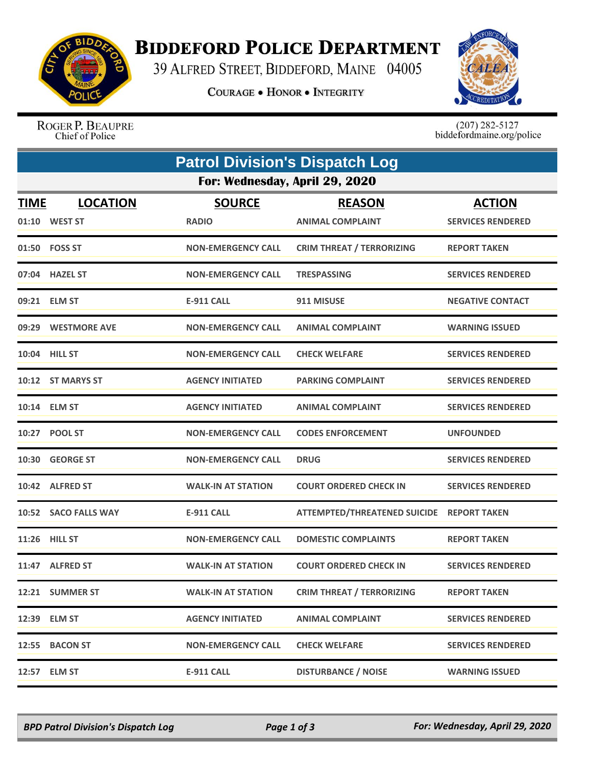

## **BIDDEFORD POLICE DEPARTMENT**

39 ALFRED STREET, BIDDEFORD, MAINE 04005

**COURAGE . HONOR . INTEGRITY** 



ROGER P. BEAUPRE Chief of Police

 $(207)$  282-5127<br>biddefordmaine.org/police

| <b>Patrol Division's Dispatch Log</b> |                                  |                               |                                           |                                           |  |  |  |
|---------------------------------------|----------------------------------|-------------------------------|-------------------------------------------|-------------------------------------------|--|--|--|
|                                       | For: Wednesday, April 29, 2020   |                               |                                           |                                           |  |  |  |
| <u>TIME</u>                           | <b>LOCATION</b><br>01:10 WEST ST | <b>SOURCE</b><br><b>RADIO</b> | <b>REASON</b><br><b>ANIMAL COMPLAINT</b>  | <b>ACTION</b><br><b>SERVICES RENDERED</b> |  |  |  |
|                                       | 01:50 FOSS ST                    | <b>NON-EMERGENCY CALL</b>     | <b>CRIM THREAT / TERRORIZING</b>          | <b>REPORT TAKEN</b>                       |  |  |  |
|                                       | 07:04 HAZEL ST                   | <b>NON-EMERGENCY CALL</b>     | <b>TRESPASSING</b>                        | <b>SERVICES RENDERED</b>                  |  |  |  |
|                                       | 09:21 ELM ST                     | <b>E-911 CALL</b>             | 911 MISUSE                                | <b>NEGATIVE CONTACT</b>                   |  |  |  |
|                                       | 09:29 WESTMORE AVE               | <b>NON-EMERGENCY CALL</b>     | <b>ANIMAL COMPLAINT</b>                   | <b>WARNING ISSUED</b>                     |  |  |  |
|                                       | 10:04 HILL ST                    | <b>NON-EMERGENCY CALL</b>     | <b>CHECK WELFARE</b>                      | <b>SERVICES RENDERED</b>                  |  |  |  |
|                                       | 10:12 ST MARYS ST                | <b>AGENCY INITIATED</b>       | <b>PARKING COMPLAINT</b>                  | <b>SERVICES RENDERED</b>                  |  |  |  |
|                                       | 10:14 ELM ST                     | <b>AGENCY INITIATED</b>       | <b>ANIMAL COMPLAINT</b>                   | <b>SERVICES RENDERED</b>                  |  |  |  |
|                                       | 10:27 POOL ST                    | <b>NON-EMERGENCY CALL</b>     | <b>CODES ENFORCEMENT</b>                  | <b>UNFOUNDED</b>                          |  |  |  |
|                                       | 10:30 GEORGE ST                  | <b>NON-EMERGENCY CALL</b>     | <b>DRUG</b>                               | <b>SERVICES RENDERED</b>                  |  |  |  |
|                                       | 10:42 ALFRED ST                  | <b>WALK-IN AT STATION</b>     | <b>COURT ORDERED CHECK IN</b>             | <b>SERVICES RENDERED</b>                  |  |  |  |
|                                       | 10:52 SACO FALLS WAY             | <b>E-911 CALL</b>             | ATTEMPTED/THREATENED SUICIDE REPORT TAKEN |                                           |  |  |  |
|                                       | 11:26 HILL ST                    | <b>NON-EMERGENCY CALL</b>     | <b>DOMESTIC COMPLAINTS</b>                | <b>REPORT TAKEN</b>                       |  |  |  |
|                                       | 11:47 ALFRED ST                  | <b>WALK-IN AT STATION</b>     | <b>COURT ORDERED CHECK IN</b>             | <b>SERVICES RENDERED</b>                  |  |  |  |
|                                       | 12:21 SUMMER ST                  | <b>WALK-IN AT STATION</b>     | <b>CRIM THREAT / TERRORIZING</b>          | <b>REPORT TAKEN</b>                       |  |  |  |
|                                       | 12:39 ELM ST                     | <b>AGENCY INITIATED</b>       | <b>ANIMAL COMPLAINT</b>                   | <b>SERVICES RENDERED</b>                  |  |  |  |
|                                       | 12:55 BACON ST                   | <b>NON-EMERGENCY CALL</b>     | <b>CHECK WELFARE</b>                      | <b>SERVICES RENDERED</b>                  |  |  |  |
|                                       | 12:57 ELM ST                     | <b>E-911 CALL</b>             | <b>DISTURBANCE / NOISE</b>                | <b>WARNING ISSUED</b>                     |  |  |  |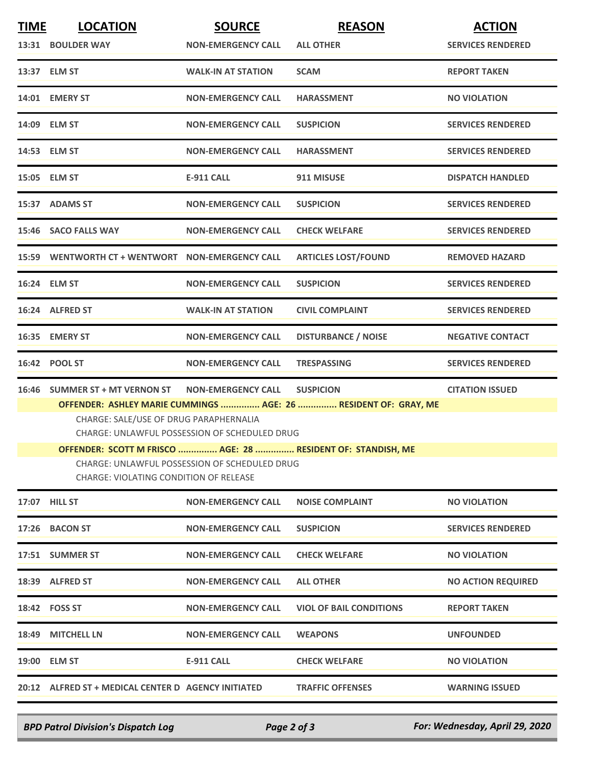| <b>TIME</b> | <b>LOCATION</b>                                                                                | <b>SOURCE</b>             | <b>REASON</b>                  | <b>ACTION</b>             |  |  |
|-------------|------------------------------------------------------------------------------------------------|---------------------------|--------------------------------|---------------------------|--|--|
|             | 13:31 BOULDER WAY                                                                              | <b>NON-EMERGENCY CALL</b> | <b>ALL OTHER</b>               | <b>SERVICES RENDERED</b>  |  |  |
|             | 13:37 ELM ST                                                                                   | <b>WALK-IN AT STATION</b> | <b>SCAM</b>                    | <b>REPORT TAKEN</b>       |  |  |
|             | 14:01 EMERY ST                                                                                 | <b>NON-EMERGENCY CALL</b> | <b>HARASSMENT</b>              | <b>NO VIOLATION</b>       |  |  |
|             | 14:09 ELM ST                                                                                   | <b>NON-EMERGENCY CALL</b> | <b>SUSPICION</b>               | <b>SERVICES RENDERED</b>  |  |  |
|             | 14:53 ELM ST                                                                                   | <b>NON-EMERGENCY CALL</b> | <b>HARASSMENT</b>              | <b>SERVICES RENDERED</b>  |  |  |
|             | 15:05 ELM ST                                                                                   | <b>E-911 CALL</b>         | 911 MISUSE                     | <b>DISPATCH HANDLED</b>   |  |  |
|             | 15:37 ADAMS ST                                                                                 | <b>NON-EMERGENCY CALL</b> | <b>SUSPICION</b>               | <b>SERVICES RENDERED</b>  |  |  |
|             | 15:46 SACO FALLS WAY                                                                           | <b>NON-EMERGENCY CALL</b> | <b>CHECK WELFARE</b>           | <b>SERVICES RENDERED</b>  |  |  |
|             | 15:59 WENTWORTH CT + WENTWORT NON-EMERGENCY CALL                                               |                           | <b>ARTICLES LOST/FOUND</b>     | <b>REMOVED HAZARD</b>     |  |  |
|             | 16:24 ELM ST                                                                                   | <b>NON-EMERGENCY CALL</b> | <b>SUSPICION</b>               | <b>SERVICES RENDERED</b>  |  |  |
|             | 16:24 ALFRED ST                                                                                | <b>WALK-IN AT STATION</b> | <b>CIVIL COMPLAINT</b>         | <b>SERVICES RENDERED</b>  |  |  |
|             | 16:35 EMERY ST                                                                                 | <b>NON-EMERGENCY CALL</b> | <b>DISTURBANCE / NOISE</b>     | <b>NEGATIVE CONTACT</b>   |  |  |
|             | 16:42 POOL ST                                                                                  | <b>NON-EMERGENCY CALL</b> | <b>TRESPASSING</b>             | <b>SERVICES RENDERED</b>  |  |  |
|             | 16:46 SUMMER ST + MT VERNON ST                                                                 | <b>NON-EMERGENCY CALL</b> | <b>SUSPICION</b>               | <b>CITATION ISSUED</b>    |  |  |
|             | OFFENDER: ASHLEY MARIE CUMMINGS  AGE: 26  RESIDENT OF: GRAY, ME                                |                           |                                |                           |  |  |
|             | CHARGE: SALE/USE OF DRUG PARAPHERNALIA<br><b>CHARGE: UNLAWFUL POSSESSION OF SCHEDULED DRUG</b> |                           |                                |                           |  |  |
|             | OFFENDER: SCOTT M FRISCO  AGE: 28  RESIDENT OF: STANDISH, ME                                   |                           |                                |                           |  |  |
|             | CHARGE: UNLAWFUL POSSESSION OF SCHEDULED DRUG<br><b>CHARGE: VIOLATING CONDITION OF RELEASE</b> |                           |                                |                           |  |  |
|             | 17:07 HILL ST                                                                                  | <b>NON-EMERGENCY CALL</b> | <b>NOISE COMPLAINT</b>         | <b>NO VIOLATION</b>       |  |  |
|             | 17:26 BACON ST                                                                                 | <b>NON-EMERGENCY CALL</b> | <b>SUSPICION</b>               | <b>SERVICES RENDERED</b>  |  |  |
|             | 17:51 SUMMER ST                                                                                | <b>NON-EMERGENCY CALL</b> | <b>CHECK WELFARE</b>           | <b>NO VIOLATION</b>       |  |  |
|             | 18:39 ALFRED ST                                                                                | <b>NON-EMERGENCY CALL</b> | <b>ALL OTHER</b>               | <b>NO ACTION REQUIRED</b> |  |  |
|             | 18:42 FOSS ST                                                                                  | <b>NON-EMERGENCY CALL</b> | <b>VIOL OF BAIL CONDITIONS</b> | <b>REPORT TAKEN</b>       |  |  |
|             | 18:49 MITCHELL LN                                                                              | <b>NON-EMERGENCY CALL</b> | <b>WEAPONS</b>                 | <b>UNFOUNDED</b>          |  |  |
|             | 19:00 ELM ST                                                                                   | E-911 CALL                | <b>CHECK WELFARE</b>           | <b>NO VIOLATION</b>       |  |  |
|             | 20:12 ALFRED ST + MEDICAL CENTER D AGENCY INITIATED                                            |                           | <b>TRAFFIC OFFENSES</b>        | <b>WARNING ISSUED</b>     |  |  |

*BPD Patrol Division's Dispatch Log Page 2 of 3 For: Wednesday, April 29, 2020*